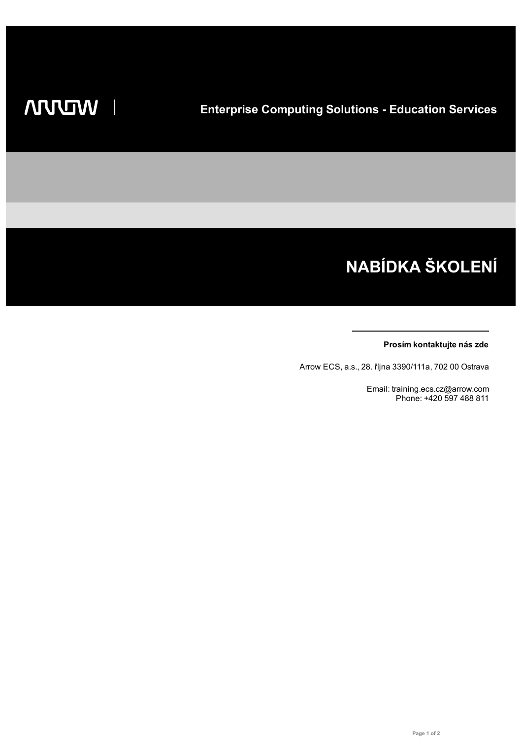# NABÍDKA ŠKOLENÍ

#### Prosím kontaktujte nás zde

Arrow ECS, a.s., 28. října 3390/111a, 702 00 Ostrava

Email: training.ecs.cz@arrow.com Phone: +420 597 488 811